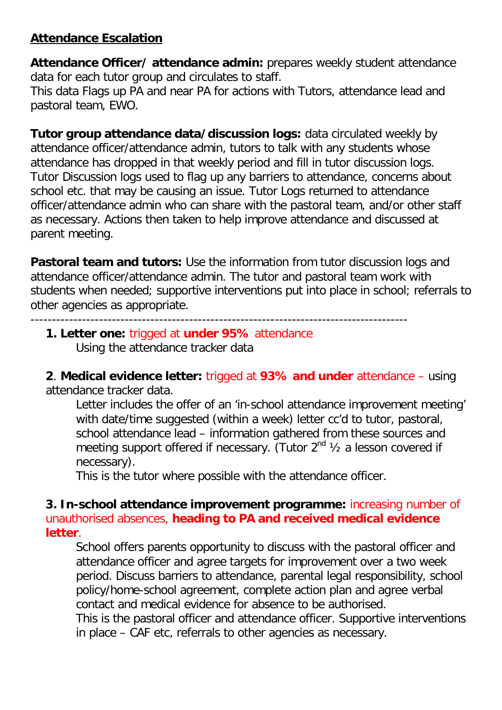# **Attendance Escalation**

**Attendance Officer/ attendance admin:** prepares weekly student attendance data for each tutor group and circulates to staff.

This data Flags up PA and near PA for actions with Tutors, attendance lead and pastoral team, EWO.

**Tutor group attendance data/discussion logs:** data circulated weekly by attendance officer/attendance admin, tutors to talk with any students whose attendance has dropped in that weekly period and fill in tutor discussion logs. Tutor Discussion logs used to flag up any barriers to attendance, concerns about school etc. that may be causing an issue. Tutor Logs returned to attendance officer/attendance admin who can share with the pastoral team, and/or other staff as necessary. Actions then taken to help improve attendance and discussed at parent meeting.

**Pastoral team and tutors:** Use the information from tutor discussion logs and attendance officer/attendance admin. The tutor and pastoral team work with students when needed; supportive interventions put into place in school; referrals to other agencies as appropriate.

----------------------------------------------------------------------------------------

#### **1. Letter one:** trigged at **under 95%** attendance Using the attendance tracker data

**2**. **Medical evidence letter:** trigged at **93% and under** attendance – using attendance tracker data.

Letter includes the offer of an 'in-school attendance improvement meeting' with date/time suggested (within a week) letter cc'd to tutor, pastoral, school attendance lead – information gathered from these sources and meeting support offered if necessary. (Tutor  $2^{nd}$   $\frac{1}{2}$  a lesson covered if necessary).

This is the tutor where possible with the attendance officer.

### **3. In-school attendance improvement programme:** increasing number of unauthorised absences, **heading to PA and received medical evidence letter**.

School offers parents opportunity to discuss with the pastoral officer and attendance officer and agree targets for improvement over a two week period. Discuss barriers to attendance, parental legal responsibility, school policy/home-school agreement, complete action plan and agree verbal contact and medical evidence for absence to be authorised.

This is the pastoral officer and attendance officer. Supportive interventions in place – CAF etc, referrals to other agencies as necessary.